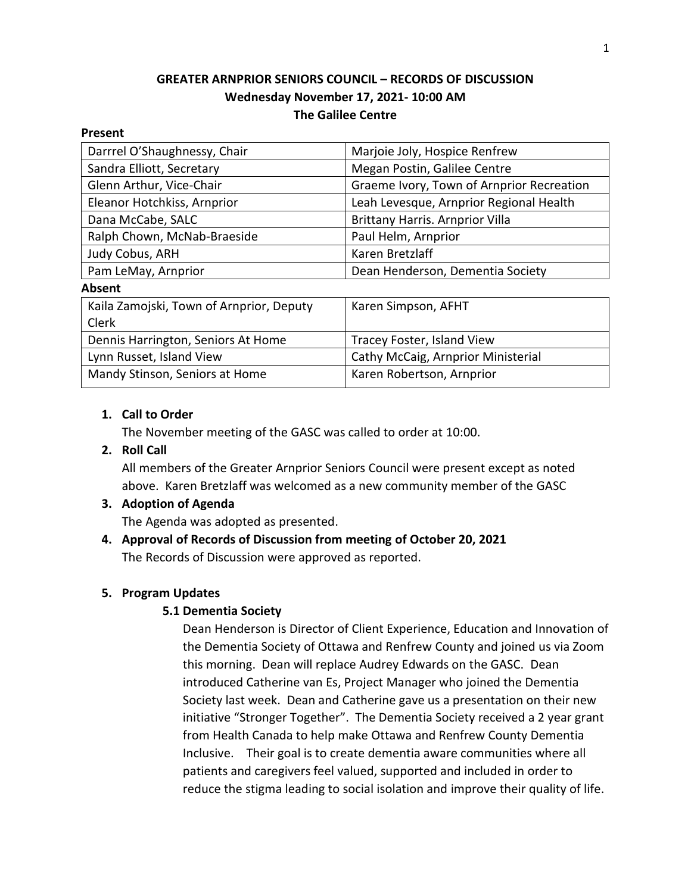# **GREATER ARNPRIOR SENIORS COUNCIL – RECORDS OF DISCUSSION Wednesday November 17, 2021- 10:00 AM The Galilee Centre**

#### **Present**

| Darrrel O'Shaughnessy, Chair             | Marjoie Joly, Hospice Renfrew             |
|------------------------------------------|-------------------------------------------|
| Sandra Elliott, Secretary                | Megan Postin, Galilee Centre              |
| Glenn Arthur, Vice-Chair                 | Graeme Ivory, Town of Arnprior Recreation |
| Eleanor Hotchkiss, Arnprior              | Leah Levesque, Arnprior Regional Health   |
| Dana McCabe, SALC                        | <b>Brittany Harris. Arnprior Villa</b>    |
| Ralph Chown, McNab-Braeside              | Paul Helm, Arnprior                       |
| Judy Cobus, ARH                          | Karen Bretzlaff                           |
| Pam LeMay, Arnprior                      | Dean Henderson, Dementia Society          |
| <b>Absent</b>                            |                                           |
| Kaila Zamojski, Town of Arnprior, Deputy | Karen Simpson, AFHT                       |
| Clerk                                    |                                           |
| Dennis Harrington, Seniors At Home       | Tracey Foster, Island View                |
| Lynn Russet, Island View                 | Cathy McCaig, Arnprior Ministerial        |
| Mandy Stinson, Seniors at Home           | Karen Robertson, Arnprior                 |

## **1. Call to Order**

The November meeting of the GASC was called to order at 10:00.

### **2. Roll Call**

All members of the Greater Arnprior Seniors Council were present except as noted above. Karen Bretzlaff was welcomed as a new community member of the GASC

## **3. Adoption of Agenda**

The Agenda was adopted as presented.

## **4. Approval of Records of Discussion from meeting of October 20, 2021** The Records of Discussion were approved as reported.

## **5. Program Updates**

## **5.1 Dementia Society**

Dean Henderson is Director of Client Experience, Education and Innovation of the Dementia Society of Ottawa and Renfrew County and joined us via Zoom this morning. Dean will replace Audrey Edwards on the GASC. Dean introduced Catherine van Es, Project Manager who joined the Dementia Society last week. Dean and Catherine gave us a presentation on their new initiative "Stronger Together". The Dementia Society received a 2 year grant from Health Canada to help make Ottawa and Renfrew County Dementia Inclusive. Their goal is to create dementia aware communities where all patients and caregivers feel valued, supported and included in order to reduce the stigma leading to social isolation and improve their quality of life.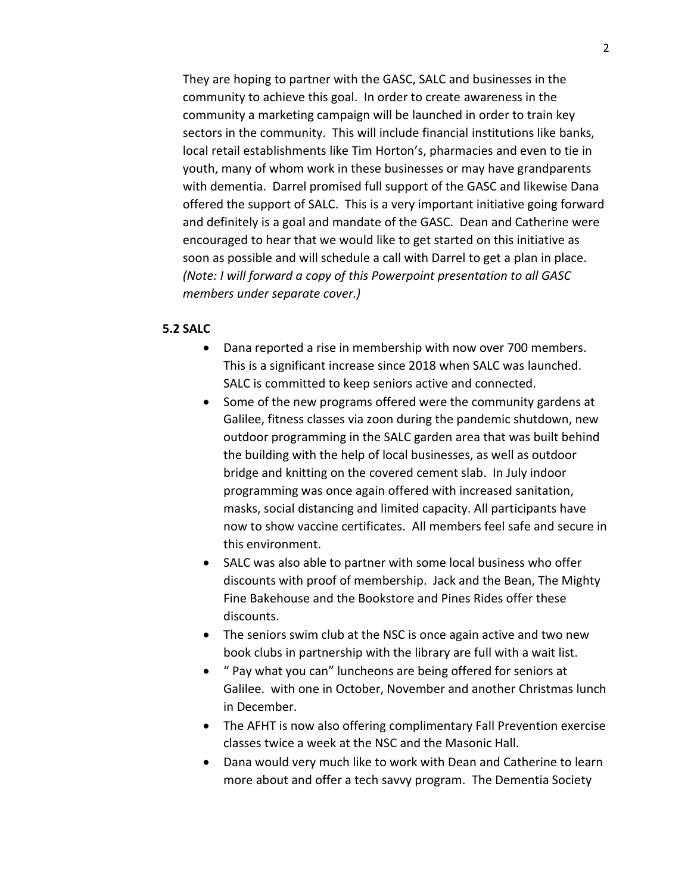They are hoping to partner with the GASC, SALC and businesses in the community to achieve this goal. In order to create awareness in the community a marketing campaign will be launched in order to train key sectors in the community. This will include financial institutions like banks, local retail establishments like Tim Horton's, pharmacies and even to tie in youth, many of whom work in these businesses or may have grandparents with dementia. Darrel promised full support of the GASC and likewise Dana offered the support of SALC. This is a very important initiative going forward and definitely is a goal and mandate of the GASC. Dean and Catherine were encouraged to hear that we would like to get started on this initiative as soon as possible and will schedule a call with Darrel to get a plan in place. *(Note: I will forward a copy of this Powerpoint presentation to all GASC members under separate cover.)*

#### **5.2 SALC**

- Dana reported a rise in membership with now over 700 members. This is a significant increase since 2018 when SALC was launched. SALC is committed to keep seniors active and connected.
- Some of the new programs offered were the community gardens at Galilee, fitness classes via zoon during the pandemic shutdown, new outdoor programming in the SALC garden area that was built behind the building with the help of local businesses, as well as outdoor bridge and knitting on the covered cement slab. In July indoor programming was once again offered with increased sanitation, masks, social distancing and limited capacity. All participants have now to show vaccine certificates. All members feel safe and secure in this environment.
- SALC was also able to partner with some local business who offer discounts with proof of membership. Jack and the Bean, The Mighty Fine Bakehouse and the Bookstore and Pines Rides offer these discounts.
- The seniors swim club at the NSC is once again active and two new book clubs in partnership with the library are full with a wait list.
- " Pay what you can" luncheons are being offered for seniors at Galilee. with one in October, November and another Christmas lunch in December.
- The AFHT is now also offering complimentary Fall Prevention exercise classes twice a week at the NSC and the Masonic Hall.
- Dana would very much like to work with Dean and Catherine to learn more about and offer a tech savvy program. The Dementia Society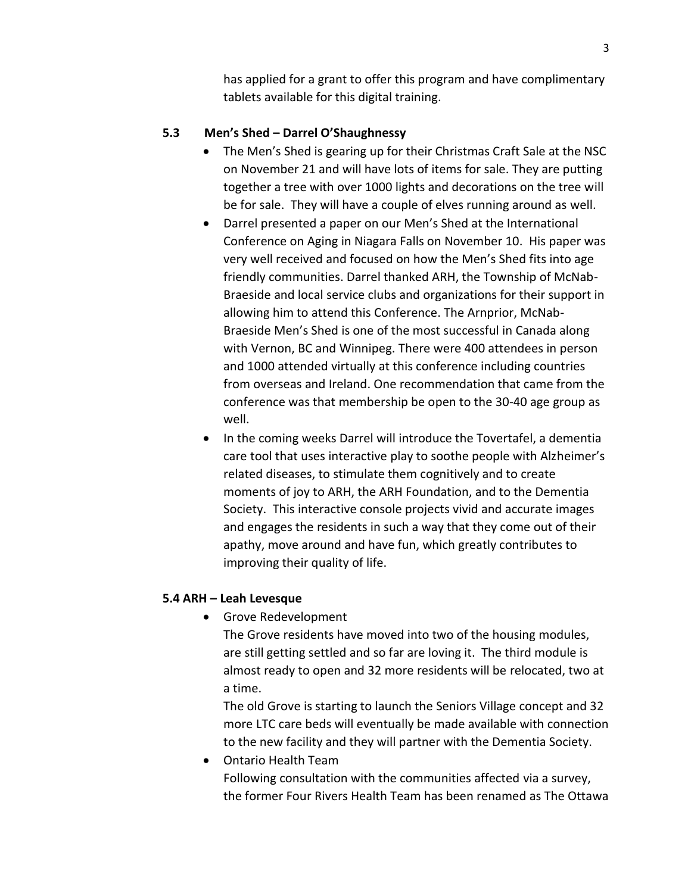has applied for a grant to offer this program and have complimentary tablets available for this digital training.

# **5.3 Men's Shed – Darrel O'Shaughnessy**

- The Men's Shed is gearing up for their Christmas Craft Sale at the NSC on November 21 and will have lots of items for sale. They are putting together a tree with over 1000 lights and decorations on the tree will be for sale. They will have a couple of elves running around as well.
- Darrel presented a paper on our Men's Shed at the International Conference on Aging in Niagara Falls on November 10. His paper was very well received and focused on how the Men's Shed fits into age friendly communities. Darrel thanked ARH, the Township of McNab-Braeside and local service clubs and organizations for their support in allowing him to attend this Conference. The Arnprior, McNab-Braeside Men's Shed is one of the most successful in Canada along with Vernon, BC and Winnipeg. There were 400 attendees in person and 1000 attended virtually at this conference including countries from overseas and Ireland. One recommendation that came from the conference was that membership be open to the 30-40 age group as well.
- In the coming weeks Darrel will introduce the Tovertafel, a dementia care tool that uses interactive play to soothe people with Alzheimer's related diseases, to stimulate them cognitively and to create moments of joy to ARH, the ARH Foundation, and to the Dementia Society. This interactive console projects vivid and accurate images and engages the residents in such a way that they come out of their apathy, move around and have fun, which greatly contributes to improving their quality of life.

# **5.4 ARH – Leah Levesque**

• Grove Redevelopment

The Grove residents have moved into two of the housing modules, are still getting settled and so far are loving it. The third module is almost ready to open and 32 more residents will be relocated, two at a time.

The old Grove is starting to launch the Seniors Village concept and 32 more LTC care beds will eventually be made available with connection to the new facility and they will partner with the Dementia Society.

• Ontario Health Team Following consultation with the communities affected via a survey, the former Four Rivers Health Team has been renamed as The Ottawa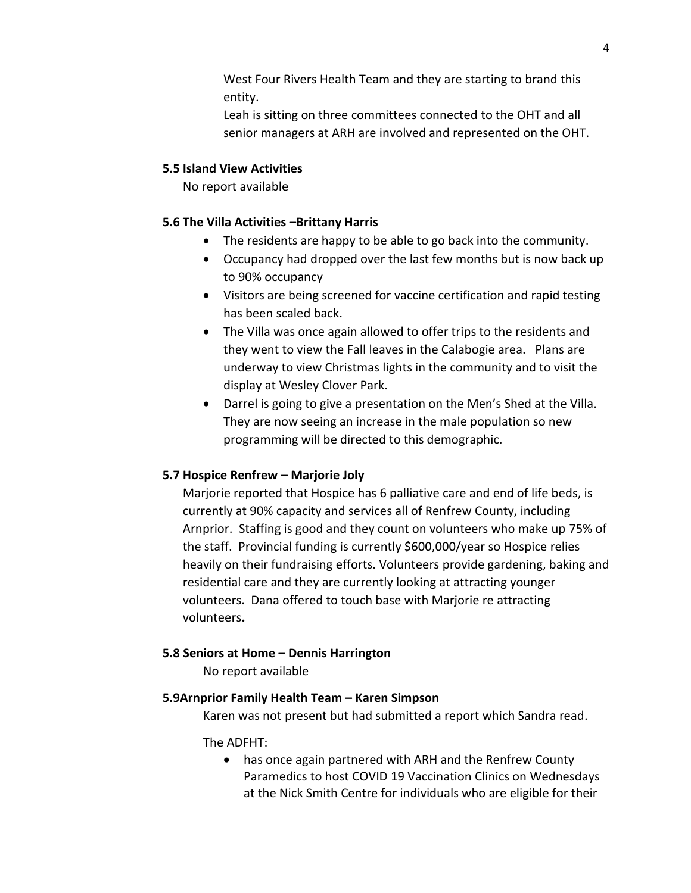West Four Rivers Health Team and they are starting to brand this entity.

Leah is sitting on three committees connected to the OHT and all senior managers at ARH are involved and represented on the OHT.

# **5.5 Island View Activities**

No report available

## **5.6 The Villa Activities –Brittany Harris**

- The residents are happy to be able to go back into the community.
- Occupancy had dropped over the last few months but is now back up to 90% occupancy
- Visitors are being screened for vaccine certification and rapid testing has been scaled back.
- The Villa was once again allowed to offer trips to the residents and they went to view the Fall leaves in the Calabogie area. Plans are underway to view Christmas lights in the community and to visit the display at Wesley Clover Park.
- Darrel is going to give a presentation on the Men's Shed at the Villa. They are now seeing an increase in the male population so new programming will be directed to this demographic.

# **5.7 Hospice Renfrew – Marjorie Joly**

Marjorie reported that Hospice has 6 palliative care and end of life beds, is currently at 90% capacity and services all of Renfrew County, including Arnprior. Staffing is good and they count on volunteers who make up 75% of the staff. Provincial funding is currently \$600,000/year so Hospice relies heavily on their fundraising efforts. Volunteers provide gardening, baking and residential care and they are currently looking at attracting younger volunteers. Dana offered to touch base with Marjorie re attracting volunteers**.** 

# **5.8 Seniors at Home – Dennis Harrington**

No report available

# **5.9Arnprior Family Health Team – Karen Simpson**

Karen was not present but had submitted a report which Sandra read.

# The ADFHT:

• has once again partnered with ARH and the Renfrew County Paramedics to host COVID 19 Vaccination Clinics on Wednesdays at the Nick Smith Centre for individuals who are eligible for their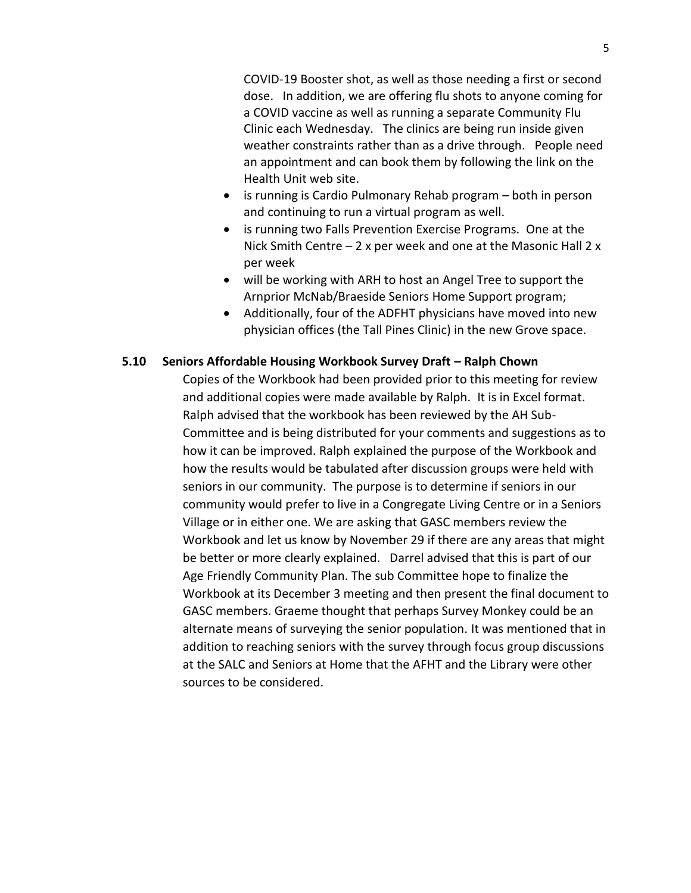COVID-19 Booster shot, as well as those needing a first or second dose. In addition, we are offering flu shots to anyone coming for a COVID vaccine as well as running a separate Community Flu Clinic each Wednesday. The clinics are being run inside given weather constraints rather than as a drive through. People need an appointment and can book them by following the link on the Health Unit web site.

- is running is Cardio Pulmonary Rehab program both in person and continuing to run a virtual program as well.
- is running two Falls Prevention Exercise Programs. One at the Nick Smith Centre  $-2x$  per week and one at the Masonic Hall 2 x per week
- will be working with ARH to host an Angel Tree to support the Arnprior McNab/Braeside Seniors Home Support program;
- Additionally, four of the ADFHT physicians have moved into new physician offices (the Tall Pines Clinic) in the new Grove space.

## **5.10 Seniors Affordable Housing Workbook Survey Draft – Ralph Chown**

Copies of the Workbook had been provided prior to this meeting for review and additional copies were made available by Ralph. It is in Excel format. Ralph advised that the workbook has been reviewed by the AH Sub-Committee and is being distributed for your comments and suggestions as to how it can be improved. Ralph explained the purpose of the Workbook and how the results would be tabulated after discussion groups were held with seniors in our community. The purpose is to determine if seniors in our community would prefer to live in a Congregate Living Centre or in a Seniors Village or in either one. We are asking that GASC members review the Workbook and let us know by November 29 if there are any areas that might be better or more clearly explained. Darrel advised that this is part of our Age Friendly Community Plan. The sub Committee hope to finalize the Workbook at its December 3 meeting and then present the final document to GASC members. Graeme thought that perhaps Survey Monkey could be an alternate means of surveying the senior population. It was mentioned that in addition to reaching seniors with the survey through focus group discussions at the SALC and Seniors at Home that the AFHT and the Library were other sources to be considered.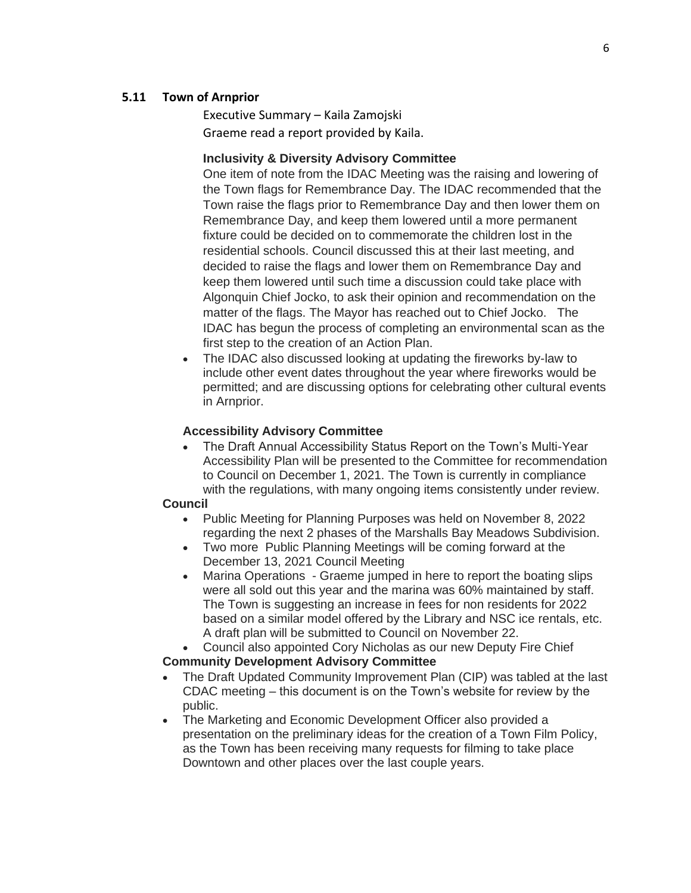#### **5.11 Town of Arnprior**

Executive Summary – Kaila Zamojski Graeme read a report provided by Kaila.

#### **Inclusivity & Diversity Advisory Committee**

One item of note from the IDAC Meeting was the raising and lowering of the Town flags for Remembrance Day. The IDAC recommended that the Town raise the flags prior to Remembrance Day and then lower them on Remembrance Day, and keep them lowered until a more permanent fixture could be decided on to commemorate the children lost in the residential schools. Council discussed this at their last meeting, and decided to raise the flags and lower them on Remembrance Day and keep them lowered until such time a discussion could take place with Algonquin Chief Jocko, to ask their opinion and recommendation on the matter of the flags. The Mayor has reached out to Chief Jocko. The IDAC has begun the process of completing an environmental scan as the first step to the creation of an Action Plan.

• The IDAC also discussed looking at updating the fireworks by-law to include other event dates throughout the year where fireworks would be permitted; and are discussing options for celebrating other cultural events in Arnprior.

#### **Accessibility Advisory Committee**

• The Draft Annual Accessibility Status Report on the Town's Multi-Year Accessibility Plan will be presented to the Committee for recommendation to Council on December 1, 2021. The Town is currently in compliance with the regulations, with many ongoing items consistently under review.

#### **Council**

- Public Meeting for Planning Purposes was held on November 8, 2022 regarding the next 2 phases of the Marshalls Bay Meadows Subdivision.
- Two more Public Planning Meetings will be coming forward at the December 13, 2021 Council Meeting
- Marina Operations Graeme jumped in here to report the boating slips were all sold out this year and the marina was 60% maintained by staff. The Town is suggesting an increase in fees for non residents for 2022 based on a similar model offered by the Library and NSC ice rentals, etc. A draft plan will be submitted to Council on November 22.
- Council also appointed Cory Nicholas as our new Deputy Fire Chief

#### **Community Development Advisory Committee**

- The Draft Updated Community Improvement Plan (CIP) was tabled at the last CDAC meeting – this document is on the Town's website for review by the public.
- The Marketing and Economic Development Officer also provided a presentation on the preliminary ideas for the creation of a Town Film Policy, as the Town has been receiving many requests for filming to take place Downtown and other places over the last couple years.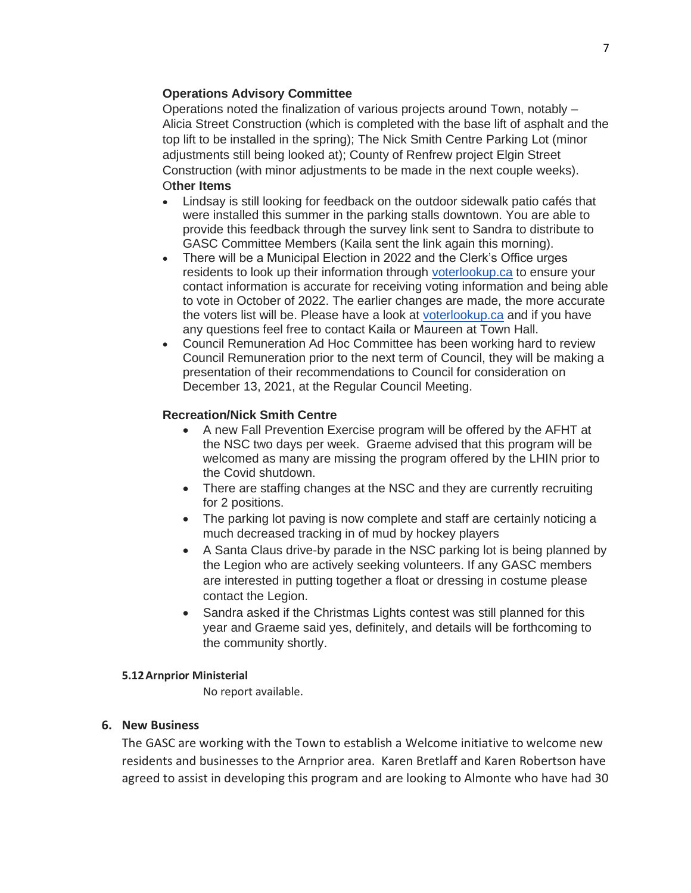## **Operations Advisory Committee**

Operations noted the finalization of various projects around Town, notably – Alicia Street Construction (which is completed with the base lift of asphalt and the top lift to be installed in the spring); The Nick Smith Centre Parking Lot (minor adjustments still being looked at); County of Renfrew project Elgin Street Construction (with minor adjustments to be made in the next couple weeks). O**ther Items**

- Lindsay is still looking for feedback on the outdoor sidewalk patio cafés that were installed this summer in the parking stalls downtown. You are able to provide this feedback through the survey link sent to Sandra to distribute to GASC Committee Members (Kaila sent the link again this morning).
- There will be a Municipal Election in 2022 and the Clerk's Office urges residents to look up their information through [voterlookup.ca](http://voterlookup.ca/) to ensure your contact information is accurate for receiving voting information and being able to vote in October of 2022. The earlier changes are made, the more accurate the voters list will be. Please have a look at [voterlookup.ca](http://voterlookup.ca/) and if you have any questions feel free to contact Kaila or Maureen at Town Hall.
- Council Remuneration Ad Hoc Committee has been working hard to review Council Remuneration prior to the next term of Council, they will be making a presentation of their recommendations to Council for consideration on December 13, 2021, at the Regular Council Meeting.

### **Recreation/Nick Smith Centre**

- A new Fall Prevention Exercise program will be offered by the AFHT at the NSC two days per week. Graeme advised that this program will be welcomed as many are missing the program offered by the LHIN prior to the Covid shutdown.
- There are staffing changes at the NSC and they are currently recruiting for 2 positions.
- The parking lot paving is now complete and staff are certainly noticing a much decreased tracking in of mud by hockey players
- A Santa Claus drive-by parade in the NSC parking lot is being planned by the Legion who are actively seeking volunteers. If any GASC members are interested in putting together a float or dressing in costume please contact the Legion.
- Sandra asked if the Christmas Lights contest was still planned for this year and Graeme said yes, definitely, and details will be forthcoming to the community shortly.

#### **5.12Arnprior Ministerial**

No report available.

### **6. New Business**

The GASC are working with the Town to establish a Welcome initiative to welcome new residents and businesses to the Arnprior area. Karen Bretlaff and Karen Robertson have agreed to assist in developing this program and are looking to Almonte who have had 30